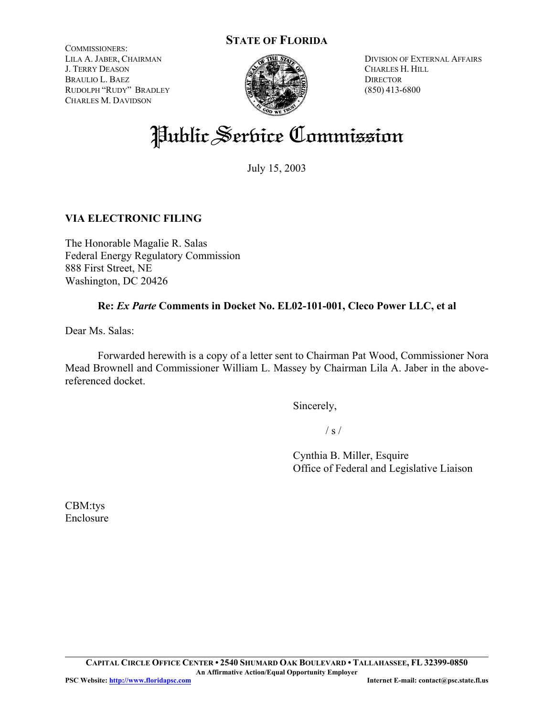# **STATE OF FLORIDA**

COMMISSIONERS: LILA A. JABER, CHAIRMAN J. TERRY DEASON BRAULIO L. BAEZ RUDOLPH "RUDY" BRADLEY CHARLES M. DAVIDSON



DIVISION OF EXTERNAL AFFAIRS CHARLES H. HILL **DIRECTOR** (850) 413-6800

# Public Serbice Commission

July 15, 2003

## **VIA ELECTRONIC FILING**

The Honorable Magalie R. Salas Federal Energy Regulatory Commission 888 First Street, NE Washington, DC 20426

#### **Re:** *Ex Parte* **Comments in Docket No. EL02-101-001, Cleco Power LLC, et al**

Dear Ms. Salas:

Forwarded herewith is a copy of a letter sent to Chairman Pat Wood, Commissioner Nora Mead Brownell and Commissioner William L. Massey by Chairman Lila A. Jaber in the abovereferenced docket.

Sincerely,

 $/ s /$ 

Cynthia B. Miller, Esquire Office of Federal and Legislative Liaison

CBM:tys Enclosure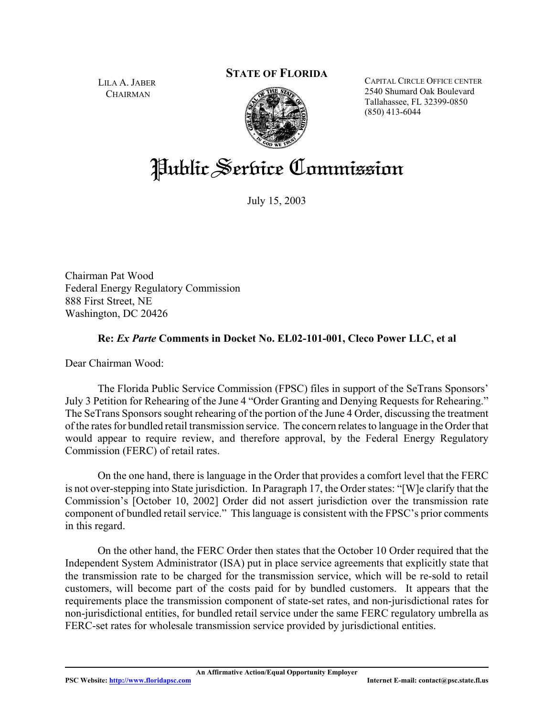## **STATE OF FLORIDA**

LILA A. JABER **CHAIRMAN** 



CAPITAL CIRCLE OFFICE CENTER 2540 Shumard Oak Boulevard Tallahassee, FL 32399-0850 (850) 413-6044

# Public Service Commission

July 15, 2003

Chairman Pat Wood Federal Energy Regulatory Commission 888 First Street, NE Washington, DC 20426

#### **Re:** *Ex Parte* **Comments in Docket No. EL02-101-001, Cleco Power LLC, et al**

Dear Chairman Wood:

The Florida Public Service Commission (FPSC) files in support of the SeTrans Sponsors' July 3 Petition for Rehearing of the June 4 "Order Granting and Denying Requests for Rehearing." The SeTrans Sponsors sought rehearing of the portion of the June 4 Order, discussing the treatment of the rates for bundled retail transmission service. The concern relates to language in the Order that would appear to require review, and therefore approval, by the Federal Energy Regulatory Commission (FERC) of retail rates.

On the one hand, there is language in the Order that provides a comfort level that the FERC is not over-stepping into State jurisdiction. In Paragraph 17, the Order states: "[W]e clarify that the Commission's [October 10, 2002] Order did not assert jurisdiction over the transmission rate component of bundled retail service." This language is consistent with the FPSC's prior comments in this regard.

On the other hand, the FERC Order then states that the October 10 Order required that the Independent System Administrator (ISA) put in place service agreements that explicitly state that the transmission rate to be charged for the transmission service, which will be re-sold to retail customers, will become part of the costs paid for by bundled customers. It appears that the requirements place the transmission component of state-set rates, and non-jurisdictional rates for non-jurisdictional entities, for bundled retail service under the same FERC regulatory umbrella as FERC-set rates for wholesale transmission service provided by jurisdictional entities.